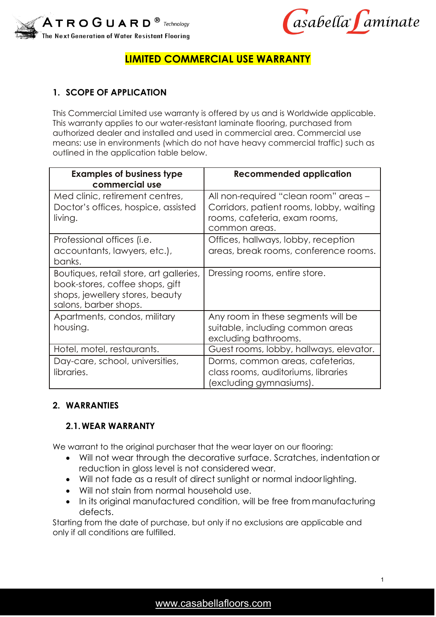

asabella faminate

# **LIMITED COMMERCIAL USE WARRANTY**

# **1. SCOPE OF APPLICATION**

This Commercial Limited use warranty is offered by us and is Worldwide applicable. This warranty applies to our water-resistant laminate flooring, purchased from authorized dealer and installed and used in commercial area. Commercial use means: use in environments (which do not have heavy commercial traffic) such as outlined in the application table below.

| <b>Examples of business type</b><br>commercial use                                                                                     | <b>Recommended application</b>                                                                                                      |
|----------------------------------------------------------------------------------------------------------------------------------------|-------------------------------------------------------------------------------------------------------------------------------------|
| Med clinic, retirement centres,<br>Doctor's offices, hospice, assisted<br>living.                                                      | All non-required "clean room" areas -<br>Corridors, patient rooms, lobby, waiting<br>rooms, cafeteria, exam rooms,<br>common areas. |
| Professional offices (i.e.<br>accountants, lawyers, etc.),<br>banks.                                                                   | Offices, hallways, lobby, reception<br>areas, break rooms, conference rooms.                                                        |
| Boutiques, retail store, art galleries,<br>book-stores, coffee shops, gift<br>shops, jewellery stores, beauty<br>salons, barber shops. | Dressing rooms, entire store.                                                                                                       |
| Apartments, condos, military<br>housing.                                                                                               | Any room in these segments will be<br>suitable, including common areas<br>excluding bathrooms.                                      |
| Hotel, motel, restaurants.                                                                                                             | Guest rooms, lobby, hallways, elevator.                                                                                             |
| Day-care, school, universities,<br>libraries.                                                                                          | Dorms, common areas, cafeterias,<br>class rooms, auditoriums, libraries<br>excluding gymnasiums).                                   |

#### **2. WARRANTIES**

#### **2.1.WEAR WARRANTY**

We warrant to the original purchaser that the wear layer on our flooring:

- Will not wear through the decorative surface. Scratches, indentation or reduction in gloss level is not considered wear.
- Will not fade as a result of direct sunlight or normal indoorlighting.
- Will not stain from normal household use.
- In its original manufactured condition, will be free from manufacturing defects.

Starting from the date of purchase, but only if no exclusions are applicable and only if all conditions are fulfilled.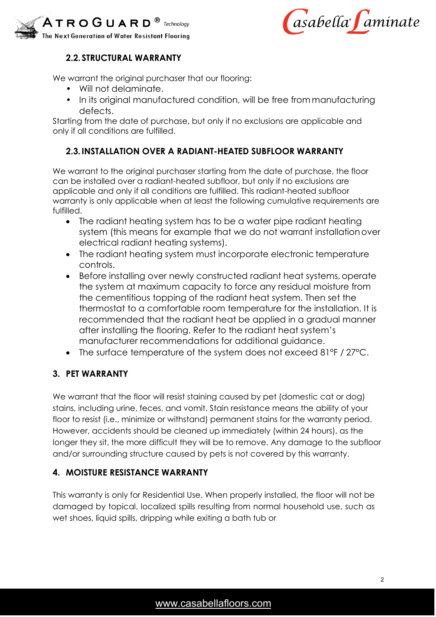



# **2.2. STRUCTURAL WARRANTY**

We warrant the original purchaser that our flooring:

- Will not delaminate.
- In its original manufactured condition, will be free from manufacturing defects.

Starting from the date of purchase, but only if no exclusions are applicable and only if all conditions are fulfilled.

# **2.3.INSTALLATION OVER A RADIANT-HEATED SUBFLOOR WARRANTY**

We warrant to the original purchaser starting from the date of purchase, the floor can be installed over a radiant-heated subfloor, but only if no exclusions are applicable and only if all conditions are fulfilled. This radiant-heated subfloor warranty is only applicable when at least the following cumulative requirements are fulfilled.

- The radiant heating system has to be a water pipe radiant heating system (this means for example that we do not warrant installation over electrical radiant heating systems).
- The radiant heating system must incorporate electronic temperature controls.
- Before installing over newly constructed radiant heat systems, operate the system at maximum capacity to force any residual moisture from the cementitious topping of the radiant heat system. Then set the thermostat to a comfortable room temperature for the installation. It is recommended that the radiant heat be applied in a gradual manner after installing the flooring. Refer to the radiant heat system's manufacturer recommendations for additional guidance.
- The surface temperature of the system does not exceed 81°F / 27°C.

# **3. PET WARRANTY**

We warrant that the floor will resist staining caused by pet (domestic cat or dog) stains, including urine, feces, and vomit. Stain resistance means the ability of your floor to resist (i.e., minimize or withstand) permanent stains for the warranty period. However, accidents should be cleaned up immediately (within 24 hours), as the longer they sit, the more difficult they will be to remove. Any damage to the subfloor and/or surrounding structure caused by pets is not covered by this warranty.

# **4. MOISTURE RESISTANCE WARRANTY**

This warranty is only for Residential Use. When properly installed, the floor will not be damaged by topical, localized spills resulting from normal household use, such as wet shoes, liquid spills, dripping while exiting a bath tub or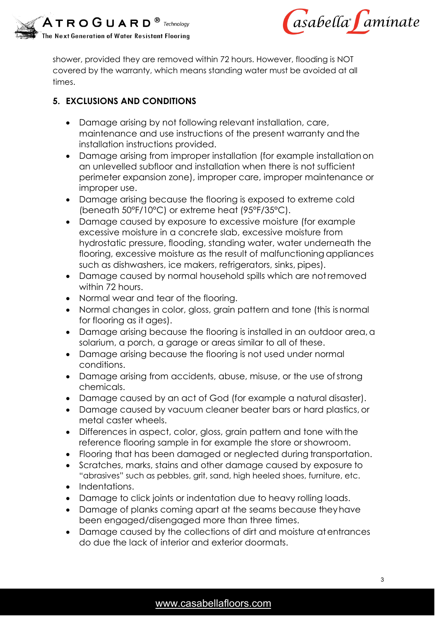



shower, provided they are removed within 72 hours. However, flooding is NOT covered by the warranty, which means standing water must be avoided at all times.

# **5. EXCLUSIONS AND CONDITIONS**

- Damage arising by not following relevant installation, care, maintenance and use instructions of the present warranty and the installation instructions provided.
- Damage arising from improper installation (for example installationon an unlevelled subfloor and installation when there is not sufficient perimeter expansion zone), improper care, improper maintenance or improper use.
- Damage arising because the flooring is exposed to extreme cold (beneath 50°F/10°C) or extreme heat (95°F/35°C).
- Damage caused by exposure to excessive moisture (for example excessive moisture in a concrete slab, excessive moisture from hydrostatic pressure, flooding, standing water, water underneath the flooring, excessive moisture as the result of malfunctioning appliances such as dishwashers, ice makers, refrigerators, sinks, pipes).
- Damage caused by normal household spills which are notremoved within 72 hours.
- Normal wear and tear of the flooring.
- Normal changes in color, gloss, grain pattern and tone (this is normal for flooring as it ages).
- Damage arising because the flooring is installed in an outdoor area, a solarium, a porch, a garage or areas similar to all of these.
- Damage arising because the flooring is not used under normal conditions.
- Damage arising from accidents, abuse, misuse, or the use ofstrong chemicals.
- Damage caused by an act of God (for example a natural disaster).
- Damage caused by vacuum cleaner beater bars or hard plastics, or metal caster wheels.
- Differences in aspect, color, gloss, grain pattern and tone with the reference flooring sample in for example the store or showroom.
- Flooring that has been damaged or neglected during transportation.
- Scratches, marks, stains and other damage caused by exposure to "abrasives" such as pebbles, grit, sand, high heeled shoes, furniture, etc.
- Indentations.
- Damage to click joints or indentation due to heavy rolling loads.
- Damage of planks coming apart at the seams because theyhave been engaged/disengaged more than three times.
- Damage caused by the collections of dirt and moisture atentrances do due the lack of interior and exterior doormats.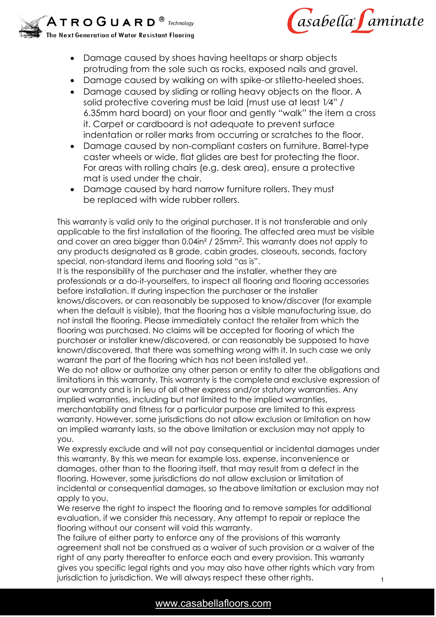



1

- Damage caused by shoes having heeltaps or sharp objects protruding from the sole such as rocks, exposed nails and gravel.
- Damage caused by walking on with spike-or stiletto-heeled shoes.
- Damage caused by sliding or rolling heavy objects on the floor. A solid protective covering must be laid (must use at least 1⁄4" / 6.35mm hard board) on your floor and gently "walk" the item a cross it. Carpet or cardboard is not adequate to prevent surface indentation or roller marks from occurring or scratches to the floor.
- Damage caused by non-compliant casters on furniture. Barrel-type caster wheels or wide, flat glides are best for protecting the floor. For areas with rolling chairs (e.g. desk area), ensure a protective mat is used under the chair.
- Damage caused by hard narrow furniture rollers. They must be replaced with wide rubber rollers.

This warranty is valid only to the original purchaser. It is not transferable and only applicable to the first installation of the flooring. The affected area must be visible and cover an area bigger than 0.04in² / 25mm2. This warranty does not apply to any products designated as B grade, cabin grades, closeouts, seconds, factory special, non-standard items and flooring sold "as is".

It is the responsibility of the purchaser and the installer, whether they are professionals or a do-it-yourselfers, to inspect all flooring and flooring accessories before installation. If during inspection the purchaser or the installer knows/discovers, or can reasonably be supposed to know/discover (for example when the default is visible), that the flooring has a visible manufacturing issue, do not install the flooring. Please immediately contact the retailer from which the flooring was purchased. No claims will be accepted for flooring of which the purchaser or installer knew/discovered, or can reasonably be supposed to have known/discovered, that there was something wrong with it. In such case we only warrant the part of the flooring which has not been installed yet.

We do not allow or authorize any other person or entity to alter the obligations and limitations in this warranty. This warranty is the completeand exclusive expression of our warranty and is in lieu of all other express and/or statutory warranties. Any implied warranties, including but not limited to the implied warranties,

merchantability and fitness for a particular purpose are limited to this express warranty. However, some jurisdictions do not allow exclusion or limitation on how an implied warranty lasts, so the above limitation or exclusion may not apply to you.

We expressly exclude and will not pay consequential or incidental damages under this warranty. By this we mean for example loss, expense, inconvenience or damages, other than to the flooring itself, that may result from a defect in the flooring. However, some jurisdictions do not allow exclusion or limitation of incidental or consequential damages, so theabove limitation or exclusion may not apply to you.

We reserve the right to inspect the flooring and to remove samples for additional evaluation, if we consider this necessary. Any attempt to repair or replace the flooring without our consent will void this warranty.

The failure of either party to enforce any of the provisions of this warranty agreement shall not be construed as a waiver of such provision or a waiver of the right of any party thereafter to enforce each and every provision. This warranty gives you specific legal rights and you may also have other rights which vary from jurisdiction to jurisdiction. We will always respect these other rights.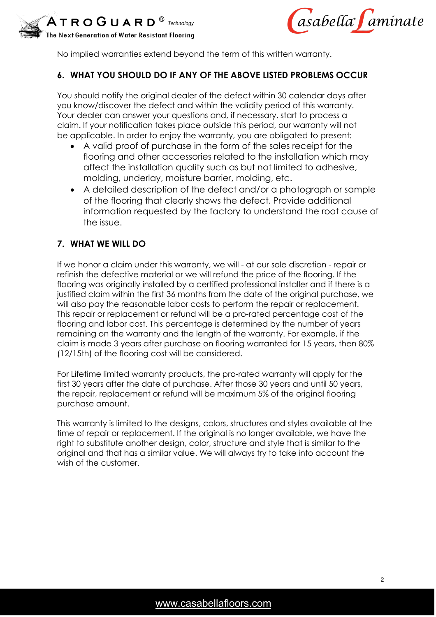



No implied warranties extend beyond the term of this written warranty.

# **6. WHAT YOU SHOULD DO IF ANY OF THE ABOVE LISTED PROBLEMS OCCUR**

You should notify the original dealer of the defect within 30 calendar days after you know/discover the defect and within the validity period of this warranty. Your dealer can answer your questions and, if necessary, start to process a claim. If your notification takes place outside this period, our warranty will not be applicable. In order to enjoy the warranty, you are obligated to present:

- A valid proof of purchase in the form of the sales receipt for the flooring and other accessories related to the installation which may affect the installation quality such as but not limited to adhesive, molding, underlay, moisture barrier, molding, etc.
- A detailed description of the defect and/or a photograph or sample of the flooring that clearly shows the defect. Provide additional information requested by the factory to understand the root cause of the issue.

#### **7. WHAT WE WILL DO**

If we honor a claim under this warranty, we will - at our sole discretion - repair or refinish the defective material or we will refund the price of the flooring. If the flooring was originally installed by a certified professional installer and if there is a justified claim within the first 36 months from the date of the original purchase, we will also pay the reasonable labor costs to perform the repair or replacement. This repair or replacement or refund will be a pro-rated percentage cost of the flooring and labor cost. This percentage is determined by the number of years remaining on the warranty and the length of the warranty. For example, if the claim is made 3 years after purchase on flooring warranted for 15 years, then 80% (12/15th) of the flooring cost will be considered.

For Lifetime limited warranty products, the pro-rated warranty will apply for the first 30 years after the date of purchase. After those 30 years and until 50 years, the repair, replacement or refund will be maximum 5% of the original flooring purchase amount.

This warranty is limited to the designs, colors, structures and styles available at the time of repair or replacement. If the original is no longer available, we have the right to substitute another design, color, structure and style that is similar to the original and that has a similar value. We will always try to take into account the wish of the customer.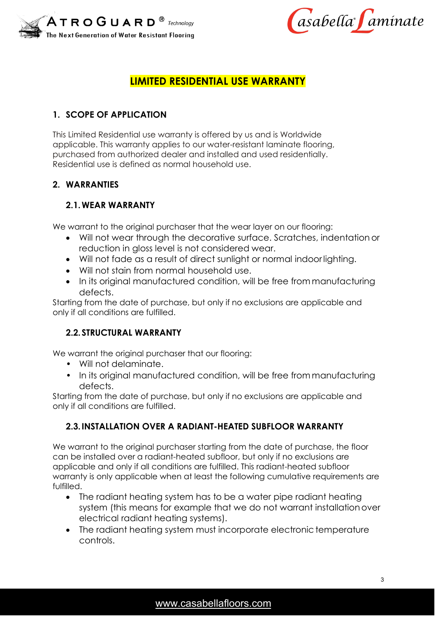



# **LIMITED RESIDENTIAL USE WARRANTY**

# **1. SCOPE OF APPLICATION**

This Limited Residential use warranty is offered by us and is Worldwide applicable. This warranty applies to our water-resistant laminate flooring, purchased from authorized dealer and installed and used residentially. Residential use is defined as normal household use.

#### **2. WARRANTIES**

# **2.1.WEAR WARRANTY**

We warrant to the original purchaser that the wear layer on our flooring:

- Will not wear through the decorative surface. Scratches, indentation or reduction in gloss level is not considered wear.
- Will not fade as a result of direct sunlight or normal indoorlighting.
- Will not stain from normal household use.
- In its original manufactured condition, will be free from manufacturing defects.

Starting from the date of purchase, but only if no exclusions are applicable and only if all conditions are fulfilled.

# **2.2. STRUCTURAL WARRANTY**

We warrant the original purchaser that our flooring:

- Will not delaminate.
- In its original manufactured condition, will be free from manufacturing defects.

Starting from the date of purchase, but only if no exclusions are applicable and only if all conditions are fulfilled.

# **2.3.INSTALLATION OVER A RADIANT-HEATED SUBFLOOR WARRANTY**

We warrant to the original purchaser starting from the date of purchase, the floor can be installed over a radiant-heated subfloor, but only if no exclusions are applicable and only if all conditions are fulfilled. This radiant-heated subfloor warranty is only applicable when at least the following cumulative requirements are fulfilled.

- The radiant heating system has to be a water pipe radiant heating system (this means for example that we do not warrant installation over electrical radiant heating systems).
- The radiant heating system must incorporate electronic temperature controls.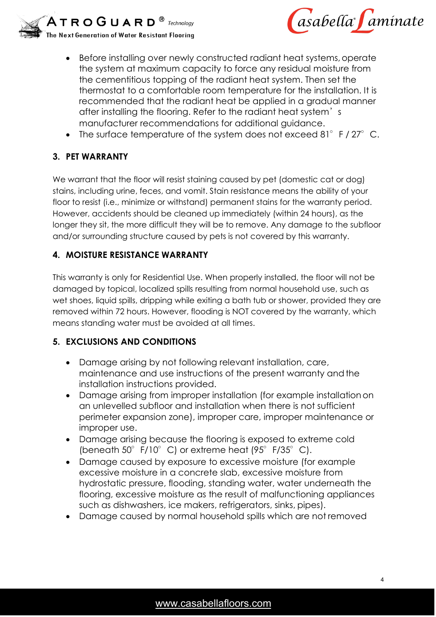



- Before installing over newly constructed radiant heat systems, operate the system at maximum capacity to force any residual moisture from the cementitious topping of the radiant heat system. Then set the thermostat to a comfortable room temperature for the installation. It is recommended that the radiant heat be applied in a gradual manner after installing the flooring. Refer to the radiant heat system's manufacturer recommendations for additional guidance.
- The surface temperature of the system does not exceed 81 $^{\circ}$  F / 27 $^{\circ}$  C.

# **3. PET WARRANTY**

We warrant that the floor will resist staining caused by pet (domestic cat or dog) stains, including urine, feces, and vomit. Stain resistance means the ability of your floor to resist (i.e., minimize or withstand) permanent stains for the warranty period. However, accidents should be cleaned up immediately (within 24 hours), as the longer they sit, the more difficult they will be to remove. Any damage to the subfloor and/or surrounding structure caused by pets is not covered by this warranty.

# **4. MOISTURE RESISTANCE WARRANTY**

This warranty is only for Residential Use. When properly installed, the floor will not be damaged by topical, localized spills resulting from normal household use, such as wet shoes, liquid spills, dripping while exiting a bath tub or shower, provided they are removed within 72 hours. However, flooding is NOT covered by the warranty, which means standing water must be avoided at all times.

# **5. EXCLUSIONS AND CONDITIONS**

- Damage arising by not following relevant installation, care, maintenance and use instructions of the present warranty and the installation instructions provided.
- Damage arising from improper installation (for example installationon an unlevelled subfloor and installation when there is not sufficient perimeter expansion zone), improper care, improper maintenance or improper use.
- Damage arising because the flooring is exposed to extreme cold (beneath  $50^{\circ}$  F/10 $^{\circ}$  C) or extreme heat (95 $^{\circ}$  F/35 $^{\circ}$  C).
- Damage caused by exposure to excessive moisture (for example excessive moisture in a concrete slab, excessive moisture from hydrostatic pressure, flooding, standing water, water underneath the flooring, excessive moisture as the result of malfunctioning appliances such as dishwashers, ice makers, refrigerators, sinks, pipes).
- Damage caused by normal household spills which are not removed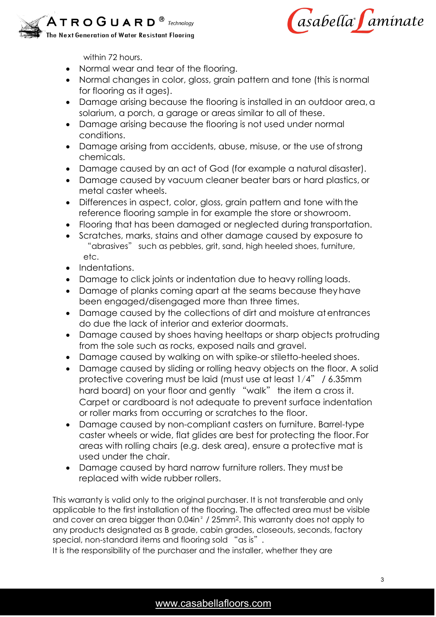



within 72 hours.

- Normal wear and tear of the flooring.
- Normal changes in color, gloss, grain pattern and tone (this is normal for flooring as it ages).
- Damage arising because the flooring is installed in an outdoor area, a solarium, a porch, a garage or areas similar to all of these.
- Damage arising because the flooring is not used under normal conditions.
- Damage arising from accidents, abuse, misuse, or the use ofstrong chemicals.
- Damage caused by an act of God (for example a natural disaster).
- Damage caused by vacuum cleaner beater bars or hard plastics, or metal caster wheels.
- Differences in aspect, color, gloss, grain pattern and tone with the reference flooring sample in for example the store or showroom.
- Flooring that has been damaged or neglected during transportation.
- Scratches, marks, stains and other damage caused by exposure to "abrasives" such as pebbles, grit, sand, high heeled shoes, furniture, etc.
- Indentations.
- Damage to click joints or indentation due to heavy rolling loads.
- Damage of planks coming apart at the seams because theyhave been engaged/disengaged more than three times.
- Damage caused by the collections of dirt and moisture atentrances do due the lack of interior and exterior doormats.
- Damage caused by shoes having heeltaps or sharp objects protruding from the sole such as rocks, exposed nails and gravel.
- Damage caused by walking on with spike-or stiletto-heeled shoes.
- Damage caused by sliding or rolling heavy objects on the floor. A solid protective covering must be laid (must use at least 1⁄4" / 6.35mm hard board) on your floor and gently "walk" the item a cross it. Carpet or cardboard is not adequate to prevent surface indentation or roller marks from occurring or scratches to the floor.
- Damage caused by non-compliant casters on furniture. Barrel-type caster wheels or wide, flat glides are best for protecting the floor. For areas with rolling chairs (e.g. desk area), ensure a protective mat is used under the chair.
- Damage caused by hard narrow furniture rollers. They must be replaced with wide rubber rollers.

This warranty is valid only to the original purchaser. It is not transferable and only applicable to the first installation of the flooring. The affected area must be visible and cover an area bigger than 0.04in² / 25mm2. This warranty does not apply to any products designated as B grade, cabin grades, closeouts, seconds, factory special, non-standard items and flooring sold "as is".

It is the responsibility of the purchaser and the installer, whether they are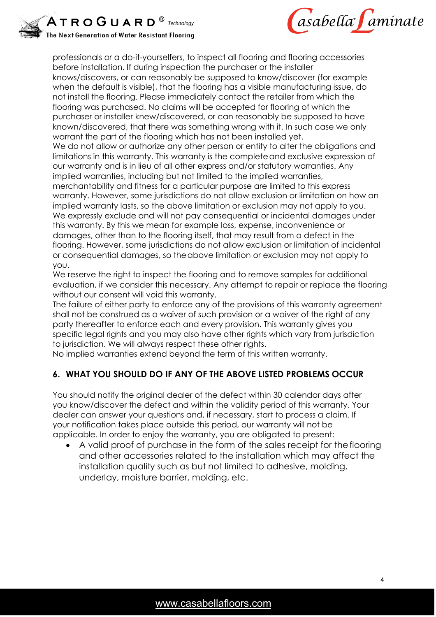



professionals or a do-it-yourselfers, to inspect all flooring and flooring accessories before installation. If during inspection the purchaser or the installer knows/discovers, or can reasonably be supposed to know/discover (for example when the default is visible), that the flooring has a visible manufacturing issue, do not install the flooring. Please immediately contact the retailer from which the flooring was purchased. No claims will be accepted for flooring of which the purchaser or installer knew/discovered, or can reasonably be supposed to have known/discovered, that there was something wrong with it. In such case we only warrant the part of the flooring which has not been installed yet.

We do not allow or authorize any other person or entity to alter the obligations and limitations in this warranty. This warranty is the completeand exclusive expression of our warranty and is in lieu of all other express and/or statutory warranties. Any implied warranties, including but not limited to the implied warranties,

merchantability and fitness for a particular purpose are limited to this express warranty. However, some jurisdictions do not allow exclusion or limitation on how an implied warranty lasts, so the above limitation or exclusion may not apply to you. We expressly exclude and will not pay consequential or incidental damages under this warranty. By this we mean for example loss, expense, inconvenience or damages, other than to the flooring itself, that may result from a defect in the flooring. However, some jurisdictions do not allow exclusion or limitation of incidental or consequential damages, so theabove limitation or exclusion may not apply to you.

We reserve the right to inspect the flooring and to remove samples for additional evaluation, if we consider this necessary. Any attempt to repair or replace the flooring without our consent will void this warranty.

The failure of either party to enforce any of the provisions of this warranty agreement shall not be construed as a waiver of such provision or a waiver of the right of any party thereafter to enforce each and every provision. This warranty gives you specific legal rights and you may also have other rights which vary from jurisdiction to jurisdiction. We will always respect these other rights.

No implied warranties extend beyond the term of this written warranty.

# **6. WHAT YOU SHOULD DO IF ANY OF THE ABOVE LISTED PROBLEMS OCCUR**

You should notify the original dealer of the defect within 30 calendar days after you know/discover the defect and within the validity period of this warranty. Your dealer can answer your questions and, if necessary, start to process a claim. If your notification takes place outside this period, our warranty will not be applicable. In order to enjoy the warranty, you are obligated to present:

• A valid proof of purchase in the form of the sales receipt for the flooring and other accessories related to the installation which may affect the installation quality such as but not limited to adhesive, molding, underlay, moisture barrier, molding, etc.